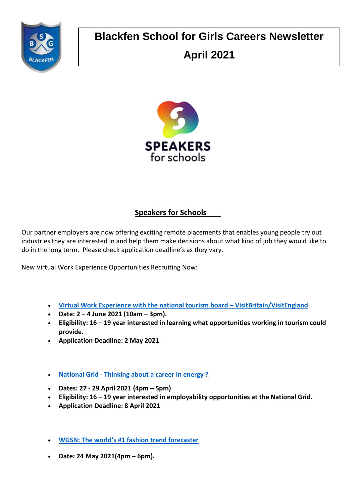

# **Blackfen School for Girls Careers Newsletter April 2021**



## **Speakers for Schools**

Our partner employers are now offering exciting remote placements that enables young people try out industries they are interested in and help them make decisions about what kind of job they would like to do in the long term. Please check application deadline's as they vary.

New Virtual Work Experience Opportunities Recruiting Now:

- **[Virtual Work Experience with the national tourism board](https://www.s4snextgen.org/Opportunities/View/id/1378) – VisitBritain/VisitEngland**
- **Date: 2 – 4 June 2021 (10am – 3pm).**
- **Eligibility: 16 – 19 year interested in learning what opportunities working in tourism could provide.**
- **Application Deadline: 2 May 2021**
- **National Grid - [Thinking about a career in energy ?](https://www.s4snextgen.org/Opportunities/View/id/1355)**
- **Dates: 27 - 29 April 2021 (4pm – 5pm)**
- **Eligibility: 16 – 19 year interested in employability opportunities at the National Grid.**
- **Application Deadline: 8 April 2021**
- **[WGSN: The world's #1 fashion trend forecaster](https://www.s4snextgen.org/Opportunities/View/id/1226)**
- **Date: 24 May 2021(4pm – 6pm).**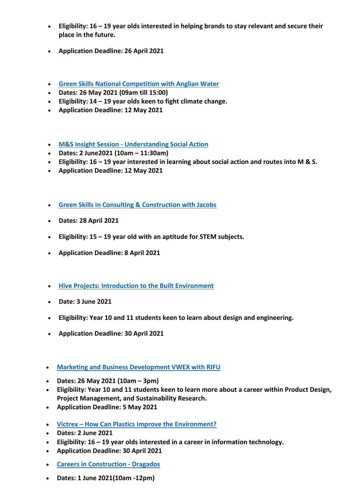- **Eligibility: 16 – 19 year olds interested in helping brands to stay relevant and secure their place in the future.**
- **Application Deadline: 26 April 2021**
- **[Green Skills National Competition with Anglian Water](https://www.s4snextgen.org/Opportunities/View/id/1260)**
- **Dates: 26 May 2021 (09am till 15:00)**
- **Eligibility: 14 – 19 year olds keen to fight climate change.**
- **Application Deadline: 12 May 2021**
- **M&S Insight Session - [Understanding Social Action](https://www.s4snextgen.org/Opportunities/View/id/1420)**
- **Dates: 2 June2021 (10am – 11:30am)**
- **Eligibility: 16 – 19 year interested in learning about social action and routes into M & S.**
- **Application Deadline: 12 May 2021**
- **[Green Skills in Consulting & Construction with Jacobs](https://www.s4snextgen.org/Opportunities/View/id/1332)**
- **Dates: 28 April 2021**
- **Eligibility: 15 – 19 year old with an aptitude for STEM subjects.**
- **Application Deadline: 8 April 2021**
- **[Hive Projects: Introduction to the Built Environment](https://www.s4snextgen.org/Opportunities/View/id/1390)**
- **Date: 3 June 2021**
- **Eligibility: Year 10 and 11 students keen to learn about design and engineering.**
- **Application Deadline: 30 April 2021**
- **[Marketing and Business Development VWEX with RIFU](https://www.s4snextgen.org/Opportunities/View/id/1380)**
- **Dates: 26 May 2021 (10am – 3pm)**
- **Eligibility: Year 10 and 11 students keen to learn more about a career within Product Design, Project Management, and Sustainability Research.**
- **Application Deadline: 5 May 2021**
- **Victrex – [How Can Plastics Improve the Environment?](https://www.s4snextgen.org/Opportunities/View/id/1336)**
- **Dates: 2 June 2021**
- **Eligibility: 16 – 19 year olds interested in a career in information technology.**
- **Application Deadline: 30 April 2021**
- **[Careers in Construction -](https://www.s4snextgen.org/Opportunities/View/id/1398) Dragados**
- **Dates: 1 June 2021(10am -12pm)**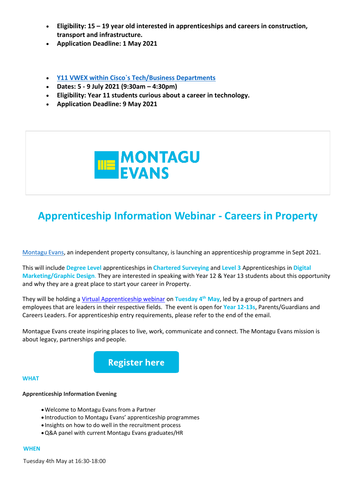- **Eligibility: 15 – 19 year old interested in apprenticeships and careers in construction, transport and infrastructure.**
- **Application Deadline: 1 May 2021**
- **[Y11 VWEX within Cisco`s Tech/Business Departments](https://www.s4snextgen.org/Opportunities/View/id/1344)**
- **Dates: 5 - 9 July 2021 (9:30am – 4:30pm)**
- **Eligibility: Year 11 students curious about a career in technology.**
- **Application Deadline: 9 May 2021**



## **Apprenticeship Information Webinar - Careers in Property**

[Montagu Evans,](https://go.mykindafuture.com/e/832393/2021-03-30/4k3m8/132110139?h=2JH9CwJnLiPmEgKFSGT0JTQydpHqz0HuPp4I5l7Qsjg) an independent property consultancy, is launching an apprenticeship programme in Sept 2021.

This will include **Degree Level** apprenticeships in **Chartered Surveying** and **Level 3** Apprenticeships in **Digital Marketing/Graphic Design**. They are interested in speaking with Year 12 & Year 13 students about this opportunity and why they are a great place to start your career in Property.

They will be holding a [Virtual Apprenticeship webinar](https://go.mykindafuture.com/e/832393/-vrT4jHdwD3K-OLXZOomfcI6QCMKKS/4k3mb/132110139?h=2JH9CwJnLiPmEgKFSGT0JTQydpHqz0HuPp4I5l7Qsjg) on **Tuesday 4th May**, led by a group of partners and employees that are leaders in their respective fields. The event is open for **Year 12-13s**, Parents/Guardians and Careers Leaders. For apprenticeship entry requirements, please refer to the end of the email.

Montague Evans create inspiring places to live, work, communicate and connect. The Montagu Evans mission is about legacy, partnerships and people.

**Register here** 

#### **WHAT**

#### **Apprenticeship Information Evening**

- •Welcome to Montagu Evans from a Partner
- Introduction to Montagu Evans' apprenticeship programmes
- Insights on how to do well in the recruitment process
- •Q&A panel with current Montagu Evans graduates/HR

#### **WHEN**

Tuesday 4th May at 16:30-18:00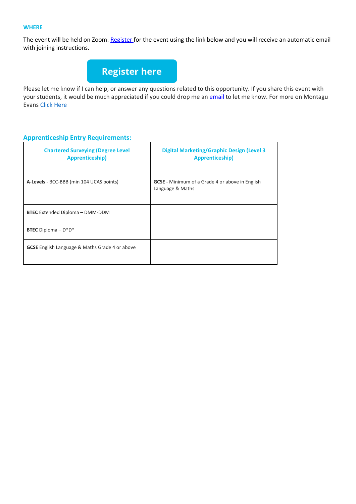### **WHERE**

The event will be held on Zoom[. Register f](https://go.mykindafuture.com/e/832393/-vrT4jHdwD3K-OLXZOomfcI6QCMKKS/4k3mb/132110139?h=2JH9CwJnLiPmEgKFSGT0JTQydpHqz0HuPp4I5l7Qsjg)or the event using the link below and you will receive an automatic email with joining instructions.



Please let me know if I can help, or answer any questions related to this opportunity. If you share this event with your students, it would be much appreciated if you could drop me an [email](mailto:kate.davis@mykindafuture.com) to let me know. For more on Montagu Evans [Click Here](https://go.mykindafuture.com/e/832393/2021-03-30/4k3m8/132110139?h=2JH9CwJnLiPmEgKFSGT0JTQydpHqz0HuPp4I5l7Qsjg)

## **Apprenticeship Entry Requirements:**

| <b>Chartered Surveying (Degree Level</b><br><b>Apprenticeship)</b> | <b>Digital Marketing/Graphic Design (Level 3</b><br>Apprenticeship)        |
|--------------------------------------------------------------------|----------------------------------------------------------------------------|
| A-Levels - BCC-BBB (min 104 UCAS points)                           | <b>GCSE</b> - Minimum of a Grade 4 or above in English<br>Language & Maths |
| <b>BTEC</b> Extended Diploma - DMM-DDM                             |                                                                            |
| <b>BTEC</b> Diploma $- D^* D^*$                                    |                                                                            |
| <b>GCSE</b> English Language & Maths Grade 4 or above              |                                                                            |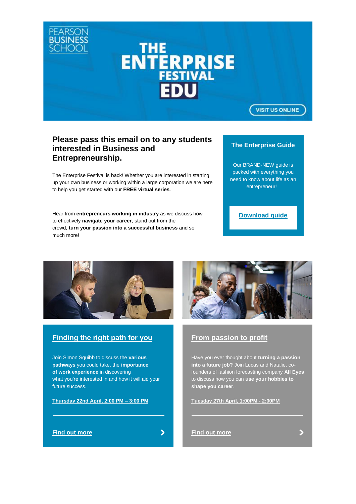

## **Please pass this email on to any students interested in Business and Entrepreneurship.**

The Enterprise Festival is back! Whether you are interested in starting up your own business or working within a large corporation we are here to help you get started with our **FREE virtual series**.

Hear from **entrepreneurs working in industry** as we discuss how to effectively **navigate your career**, stand out from the crowd, **turn your passion into a successful business** and so much more!

## **The Enterprise Guide**

Our BRAND-NEW guide is packed with everything you need to know about life as an entrepreneur!

**[Download guide](https://successatschool.us3.list-manage.com/track/click?u=2c038531b25876a2c7c9cf8b1&id=b7b6fbe89b&e=3a91abdc96)**



## **[Finding the right path for you](https://successatschool.us3.list-manage.com/track/click?u=2c038531b25876a2c7c9cf8b1&id=6224de4e92&e=3a91abdc96)**

Join Simon Squibb to discuss the **various pathways** you could take, the **importance of work experience** in discovering what you're interested in and how it will aid your future success.

**Thursday 22nd [April, 2:00 PM –](https://successatschool.us3.list-manage.com/track/click?u=2c038531b25876a2c7c9cf8b1&id=c9a64b8a1f&e=3a91abdc96) 3:00 PM**

#### **[Find out more](https://successatschool.us3.list-manage.com/track/click?u=2c038531b25876a2c7c9cf8b1&id=ea6d096afc&e=3a91abdc96)**

 $\blacktriangleright$ 



## **[From passion to profit](https://successatschool.us3.list-manage.com/track/click?u=2c038531b25876a2c7c9cf8b1&id=8da05b8c45&e=3a91abdc96)**

Have you ever thought about **turning a passion into a future job?** Join Lucas and Natalie, cofounders of fashion forecasting company **All Eyes** to discuss how you can **use your hobbies to shape you career**.

**[Tuesday 27th April, 1:00PM -](https://successatschool.us3.list-manage.com/track/click?u=2c038531b25876a2c7c9cf8b1&id=f7372837d9&e=3a91abdc96) 2:00PM**

**[Find out more](https://successatschool.us3.list-manage.com/track/click?u=2c038531b25876a2c7c9cf8b1&id=085c5d355d&e=3a91abdc96)**